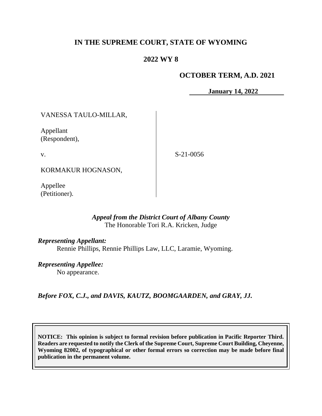# **IN THE SUPREME COURT, STATE OF WYOMING**

# **2022 WY 8**

### **OCTOBER TERM, A.D. 2021**

**January 14, 2022**

VANESSA TAULO-MILLAR,

Appellant (Respondent),

v.

S-21-0056

KORMAKUR HOGNASON,

Appellee (Petitioner).

#### *Appeal from the District Court of Albany County* The Honorable Tori R.A. Kricken, Judge

*Representing Appellant:* Rennie Phillips, Rennie Phillips Law, LLC, Laramie, Wyoming.

*Representing Appellee:*

No appearance.

*Before FOX, C.J., and DAVIS, KAUTZ, BOOMGAARDEN, and GRAY, JJ.*

**NOTICE: This opinion is subject to formal revision before publication in Pacific Reporter Third. Readers are requested to notify the Clerk of the Supreme Court, Supreme Court Building, Cheyenne, Wyoming 82002, of typographical or other formal errors so correction may be made before final publication in the permanent volume.**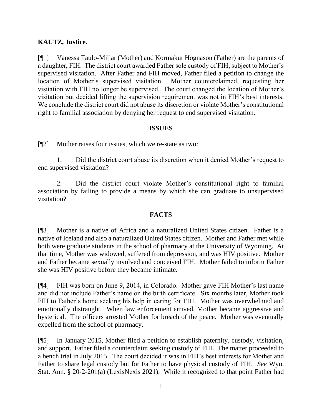## **KAUTZ, Justice.**

[¶1] Vanessa Taulo-Millar (Mother) and Kormakur Hognason (Father) are the parents of a daughter, FIH. The district court awarded Father sole custody of FIH, subject to Mother's supervised visitation. After Father and FIH moved, Father filed a petition to change the location of Mother's supervised visitation. Mother counterclaimed, requesting her visitation with FIH no longer be supervised. The court changed the location of Mother's visitation but decided lifting the supervision requirement was not in FIH's best interests. We conclude the district court did not abuse its discretion or violate Mother's constitutional right to familial association by denying her request to end supervised visitation.

#### **ISSUES**

[¶2] Mother raises four issues, which we re-state as two:

1. Did the district court abuse its discretion when it denied Mother's request to end supervised visitation?

2. Did the district court violate Mother's constitutional right to familial association by failing to provide a means by which she can graduate to unsupervised visitation?

#### **FACTS**

[¶3] Mother is a native of Africa and a naturalized United States citizen. Father is a native of Iceland and also a naturalized United States citizen. Mother and Father met while both were graduate students in the school of pharmacy at the University of Wyoming. At that time, Mother was widowed, suffered from depression, and was HIV positive. Mother and Father became sexually involved and conceived FIH. Mother failed to inform Father she was HIV positive before they became intimate.

[¶4] FIH was born on June 9, 2014, in Colorado. Mother gave FIH Mother's last name and did not include Father's name on the birth certificate. Six months later, Mother took FIH to Father's home seeking his help in caring for FIH. Mother was overwhelmed and emotionally distraught. When law enforcement arrived, Mother became aggressive and hysterical. The officers arrested Mother for breach of the peace. Mother was eventually expelled from the school of pharmacy.

[¶5] In January 2015, Mother filed a petition to establish paternity, custody, visitation, and support. Father filed a counterclaim seeking custody of FIH. The matter proceeded to a bench trial in July 2015. The court decided it was in FIH's best interests for Mother and Father to share legal custody but for Father to have physical custody of FIH. *See* Wyo. Stat. Ann. § 20-2-201(a) (LexisNexis 2021). While it recognized to that point Father had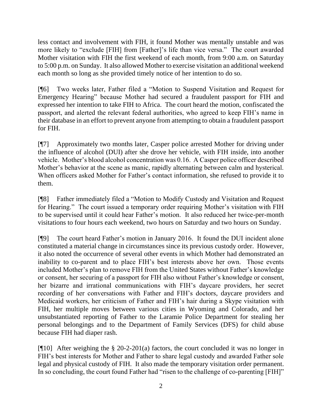less contact and involvement with FIH, it found Mother was mentally unstable and was more likely to "exclude [FIH] from [Father]'s life than vice versa." The court awarded Mother visitation with FIH the first weekend of each month, from 9:00 a.m. on Saturday to 5:00 p.m. on Sunday. It also allowed Mother to exercise visitation an additional weekend each month so long as she provided timely notice of her intention to do so.

[¶6] Two weeks later, Father filed a "Motion to Suspend Visitation and Request for Emergency Hearing" because Mother had secured a fraudulent passport for FIH and expressed her intention to take FIH to Africa. The court heard the motion, confiscated the passport, and alerted the relevant federal authorities, who agreed to keep FIH's name in their database in an effort to prevent anyone from attempting to obtain a fraudulent passport for FIH.

[¶7] Approximately two months later, Casper police arrested Mother for driving under the influence of alcohol (DUI) after she drove her vehicle, with FIH inside, into another vehicle. Mother's blood alcohol concentration was 0.16. A Casper police officer described Mother's behavior at the scene as manic, rapidly alternating between calm and hysterical. When officers asked Mother for Father's contact information, she refused to provide it to them.

[¶8] Father immediately filed a "Motion to Modify Custody and Visitation and Request for Hearing." The court issued a temporary order requiring Mother's visitation with FIH to be supervised until it could hear Father's motion. It also reduced her twice-per-month visitations to four hours each weekend, two hours on Saturday and two hours on Sunday.

[¶9] The court heard Father's motion in January 2016. It found the DUI incident alone constituted a material change in circumstances since its previous custody order. However, it also noted the occurrence of several other events in which Mother had demonstrated an inability to co-parent and to place FIH's best interests above her own. Those events included Mother's plan to remove FIH from the United States without Father's knowledge or consent, her securing of a passport for FIH also without Father's knowledge or consent, her bizarre and irrational communications with FIH's daycare providers, her secret recording of her conversations with Father and FIH's doctors, daycare providers and Medicaid workers, her criticism of Father and FIH's hair during a Skype visitation with FIH, her multiple moves between various cities in Wyoming and Colorado, and her unsubstantiated reporting of Father to the Laramie Police Department for stealing her personal belongings and to the Department of Family Services (DFS) for child abuse because FIH had diaper rash.

[¶10] After weighing the § 20-2-201(a) factors, the court concluded it was no longer in FIH's best interests for Mother and Father to share legal custody and awarded Father sole legal and physical custody of FIH. It also made the temporary visitation order permanent. In so concluding, the court found Father had "risen to the challenge of co-parenting [FIH]"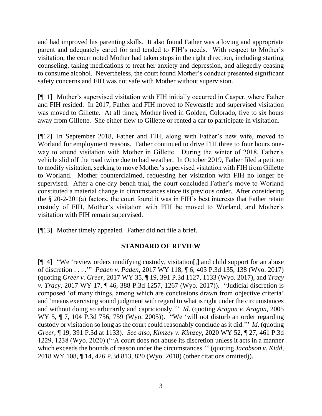and had improved his parenting skills. It also found Father was a loving and appropriate parent and adequately cared for and tended to FIH's needs. With respect to Mother's visitation, the court noted Mother had taken steps in the right direction, including starting counseling, taking medications to treat her anxiety and depression, and allegedly ceasing to consume alcohol. Nevertheless, the court found Mother's conduct presented significant safety concerns and FIH was not safe with Mother without supervision.

[¶11] Mother's supervised visitation with FIH initially occurred in Casper, where Father and FIH resided. In 2017, Father and FIH moved to Newcastle and supervised visitation was moved to Gillette. At all times, Mother lived in Golden, Colorado, five to six hours away from Gillette. She either flew to Gillette or rented a car to participate in visitation.

[¶12] In September 2018, Father and FIH, along with Father's new wife, moved to Worland for employment reasons. Father continued to drive FIH three to four hours oneway to attend visitation with Mother in Gillette. During the winter of 2018, Father's vehicle slid off the road twice due to bad weather. In October 2019, Father filed a petition to modify visitation, seeking to move Mother's supervised visitation with FIH from Gillette to Worland. Mother counterclaimed, requesting her visitation with FIH no longer be supervised. After a one-day bench trial, the court concluded Father's move to Worland constituted a material change in circumstances since its previous order. After considering the § 20-2-201(a) factors, the court found it was in FIH's best interests that Father retain custody of FIH, Mother's visitation with FIH be moved to Worland, and Mother's visitation with FIH remain supervised.

[¶13] Mother timely appealed. Father did not file a brief.

## **STANDARD OF REVIEW**

[¶14] "We 'review orders modifying custody, visitation[,] and child support for an abuse of discretion . . . .'" *Paden v. Paden*, 2017 WY 118, ¶ 6, 403 P.3d 135, 138 (Wyo. 2017) (quoting *Greer v. Greer*, 2017 WY 35, ¶ 19, 391 P.3d 1127, 1133 (Wyo. 2017), and *Tracy v. Tracy*, 2017 WY 17, ¶ 46, 388 P.3d 1257, 1267 (Wyo. 2017)). "Judicial discretion is composed 'of many things, among which are conclusions drawn from objective criteria' and 'means exercising sound judgment with regard to what is right under the circumstances and without doing so arbitrarily and capriciously.'" *Id*. (quoting *Aragon v. Aragon*, 2005 WY 5, ¶ 7, 104 P.3d 756, 759 (Wyo. 2005)). "We 'will not disturb an order regarding custody or visitation so long as the court could reasonably conclude as it did.'" *Id*. (quoting *Greer*, ¶ 19, 391 P.3d at 1133). *See also, Kimzey v. Kimzey*, 2020 WY 52, ¶ 27, 461 P.3d 1229, 1238 (Wyo. 2020) ("'A court does not abuse its discretion unless it acts in a manner which exceeds the bounds of reason under the circumstances." (quoting *Jacobson v. Kidd*, 2018 WY 108, ¶ 14, 426 P.3d 813, 820 (Wyo. 2018) (other citations omitted)).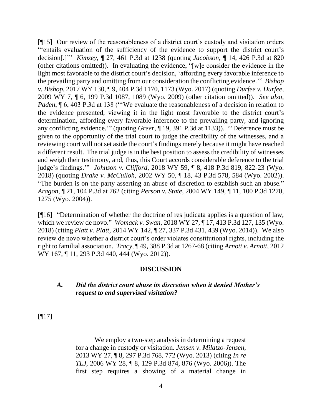[¶15] Our review of the reasonableness of a district court's custody and visitation orders "'entails evaluation of the sufficiency of the evidence to support the district court's decision[.]'" *Kimzey*, ¶ 27, 461 P.3d at 1238 (quoting *Jacobson*, ¶ 14, 426 P.3d at 820 (other citations omitted)). In evaluating the evidence, "[w]e consider the evidence in the light most favorable to the district court's decision, 'affording every favorable inference to the prevailing party and omitting from our consideration the conflicting evidence.'" *Bishop v. Bishop*, 2017 WY 130, ¶ 9, 404 P.3d 1170, 1173 (Wyo. 2017) (quoting *Durfee v. Durfee*, 2009 WY 7, ¶ 6, 199 P.3d 1087, 1089 (Wyo. 2009) (other citation omitted)). *See also, Paden*,  $\P$  6, 403 P.3d at 138 ("We evaluate the reasonableness of a decision in relation to the evidence presented, viewing it in the light most favorable to the district court's determination, affording every favorable inference to the prevailing party, and ignoring any conflicting evidence.'" (quoting *Greer*, ¶ 19, 391 P.3d at 1133)). "'Deference must be given to the opportunity of the trial court to judge the credibility of the witnesses, and a reviewing court will not set aside the court's findings merely because it might have reached a different result. The trial judge is in the best position to assess the credibility of witnesses and weigh their testimony, and, thus, this Court accords considerable deference to the trial judge's findings.'" *Johnson v. Clifford*, 2018 WY 59, ¶ 8, 418 P.3d 819, 822-23 (Wyo. 2018) (quoting *Drake v. McCulloh*, 2002 WY 50, ¶ 18, 43 P.3d 578, 584 (Wyo. 2002)). "The burden is on the party asserting an abuse of discretion to establish such an abuse." *Aragon*, ¶ 21, 104 P.3d at 762 (citing *Person v. State*, 2004 WY 149, ¶ 11, 100 P.3d 1270, 1275 (Wyo. 2004)).

[¶16] "Determination of whether the doctrine of res judicata applies is a question of law, which we review de novo." *Womack v. Swan*, 2018 WY 27, ¶ 17, 413 P.3d 127, 135 (Wyo. 2018) (citing *Platt v. Platt*, 2014 WY 142, ¶ 27, 337 P.3d 431, 439 (Wyo. 2014)). We also review de novo whether a district court's order violates constitutional rights, including the right to familial association. *Tracy*, ¶ 49, 388 P.3d at 1267-68 (citing *Arnott v. Arnott*, 2012 WY 167, ¶ 11, 293 P.3d 440, 444 (Wyo. 2012)).

## **DISCUSSION**

#### *A. Did the district court abuse its discretion when it denied Mother's request to end supervised visitation?*

[¶17]

We employ a two-step analysis in determining a request for a change in custody or visitation. *Jensen v. Milatzo-Jensen*, 2013 WY 27, ¶ 8, 297 P.3d 768, 772 (Wyo. 2013) (citing *In re TLJ*, 2006 WY 28, ¶ 8, 129 P.3d 874, 876 (Wyo. 2006)). The first step requires a showing of a material change in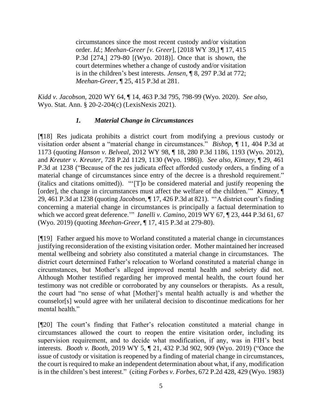circumstances since the most recent custody and/or visitation order. *Id.*; *Meehan-Greer [v. Greer*], [2018 WY 39,] ¶ 17, 415 P.3d [274,] 279-80 [(Wyo. 2018)]. Once that is shown, the court determines whether a change of custody and/or visitation is in the children's best interests. *Jensen*, ¶ 8, 297 P.3d at 772; *Meehan-Greer*, ¶ 25, 415 P.3d at 281.

*Kidd v. Jacobson*, 2020 WY 64, ¶ 14, 463 P.3d 795, 798-99 (Wyo. 2020). *See also*, Wyo. Stat. Ann. § 20-2-204(c) (LexisNexis 2021).

## *1. Material Change in Circumstances*

[¶18] Res judicata prohibits a district court from modifying a previous custody or visitation order absent a "material change in circumstances." *Bishop*, ¶ 11, 404 P.3d at 1173 (quoting *Hanson v. Belveal*, 2012 WY 98, ¶ 18, 280 P.3d 1186, 1193 (Wyo. 2012), and *Kreuter v. Kreuter*, 728 P.2d 1129, 1130 (Wyo. 1986)). *See also, Kimzey*, ¶ 29, 461 P.3d at 1238 ("Because of the res judicata effect afforded custody orders, a finding of a material change of circumstances since entry of the decree is a threshold requirement." (italics and citations omitted)). "'[T]o be considered material and justify reopening the [order], the change in circumstances must affect the welfare of the children.'" *Kimzey*, ¶ 29, 461 P.3d at 1238 (quoting *Jacobson*, ¶ 17, 426 P.3d at 821). "'A district court's finding concerning a material change in circumstances is principally a factual determination to which we accord great deference.'" *Ianelli v. Camino*, 2019 WY 67, ¶ 23, 444 P.3d 61, 67 (Wyo. 2019) (quoting *Meehan-Greer,* ¶ 17, 415 P.3d at 279-80).

[¶19] Father argued his move to Worland constituted a material change in circumstances justifying reconsideration of the existing visitation order. Mother maintained her increased mental wellbeing and sobriety also constituted a material change in circumstances. The district court determined Father's relocation to Worland constituted a material change in circumstances, but Mother's alleged improved mental health and sobriety did not. Although Mother testified regarding her improved mental health, the court found her testimony was not credible or corroborated by any counselors or therapists. As a result, the court had "no sense of what [Mother]'s mental health actually is and whether the counselor[s] would agree with her unilateral decision to discontinue medications for her mental health."

[¶20] The court's finding that Father's relocation constituted a material change in circumstances allowed the court to reopen the entire visitation order, including its supervision requirement, and to decide what modification, if any, was in FIH's best interests. *Booth v. Booth*, 2019 WY 5, ¶ 21, 432 P.3d 902, 909 (Wyo. 2019) ("Once the issue of custody or visitation is reopened by a finding of material change in circumstances, the court is required to make an independent determination about what, if any, modification is in the children's best interest." (citing *Forbes v. Forbes*, 672 P.2d 428, 429 (Wyo. 1983)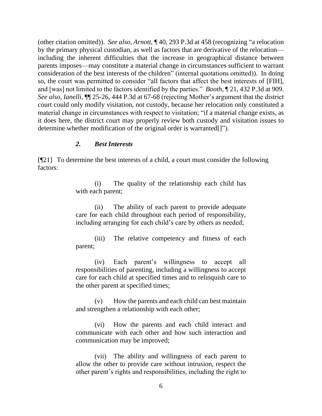(other citation omitted)). *See also, Arnott*, ¶ 40, 293 P.3d at 458 (recognizing "a relocation by the primary physical custodian, as well as factors that are derivative of the relocation including the inherent difficulties that the increase in geographical distance between parents imposes—may constitute a material change in circumstances sufficient to warrant consideration of the best interests of the children" (internal quotations omitted)). In doing so, the court was permitted to consider "all factors that affect the best interests of [FIH], and [was] not limited to the factors identified by the parties." *Booth*, ¶ 21, 432 P.3d at 909. *See also, Ianelli*, ¶¶ 25-26, 444 P.3d at 67-68 (rejecting Mother's argument that the district court could only modify visitation, not custody, because her relocation only constituted a material change in circumstances with respect to visitation; "if a material change exists, as it does here, the district court may properly review both custody and visitation issues to determine whether modification of the original order is warranted[]").

#### *2. Best Interests*

[¶21] To determine the best interests of a child, a court must consider the following factors:

> (i) The quality of the relationship each child has with each parent;

> (ii) The ability of each parent to provide adequate care for each child throughout each period of responsibility, including arranging for each child's care by others as needed;

> (iii) The relative competency and fitness of each parent;

> (iv) Each parent's willingness to accept all responsibilities of parenting, including a willingness to accept care for each child at specified times and to relinquish care to the other parent at specified times;

> (v) How the parents and each child can best maintain and strengthen a relationship with each other;

> (vi) How the parents and each child interact and communicate with each other and how such interaction and communication may be improved;

> (vii) The ability and willingness of each parent to allow the other to provide care without intrusion, respect the other parent's rights and responsibilities, including the right to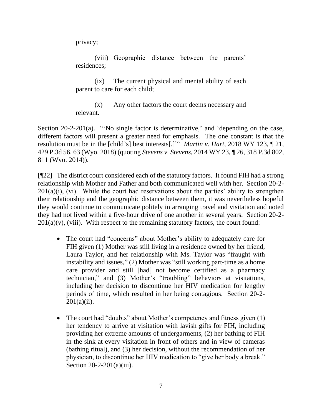privacy;

(viii) Geographic distance between the parents' residences;

(ix) The current physical and mental ability of each parent to care for each child;

(x) Any other factors the court deems necessary and relevant.

Section 20-2-201(a). "'No single factor is determinative,' and 'depending on the case, different factors will present a greater need for emphasis. The one constant is that the resolution must be in the [child's] best interests[.]"' *Martin v. Hart*, 2018 WY 123, ¶ 21, 429 P.3d 56, 63 (Wyo. 2018) (quoting *Stevens v. Stevens*, 2014 WY 23, ¶ 26, 318 P.3d 802, 811 (Wyo. 2014)).

[¶22] The district court considered each of the statutory factors. It found FIH had a strong relationship with Mother and Father and both communicated well with her. Section 20-2-  $201(a)(i)$ , (vi). While the court had reservations about the parties' ability to strengthen their relationship and the geographic distance between them, it was nevertheless hopeful they would continue to communicate politely in arranging travel and visitation and noted they had not lived within a five-hour drive of one another in several years. Section 20-2-  $201(a)(v)$ , (viii). With respect to the remaining statutory factors, the court found:

- The court had "concerns" about Mother's ability to adequately care for FIH given (1) Mother was still living in a residence owned by her friend, Laura Taylor, and her relationship with Ms. Taylor was "fraught with instability and issues," (2) Mother was "still working part-time as a home care provider and still [had] not become certified as a pharmacy technician," and (3) Mother's "troubling" behaviors at visitations, including her decision to discontinue her HIV medication for lengthy periods of time, which resulted in her being contagious. Section 20-2-  $201(a)(ii)$ .
- The court had "doubts" about Mother's competency and fitness given (1) her tendency to arrive at visitation with lavish gifts for FIH, including providing her extreme amounts of undergarments, (2) her bathing of FIH in the sink at every visitation in front of others and in view of cameras (bathing ritual), and (3) her decision, without the recommendation of her physician, to discontinue her HIV medication to "give her body a break." Section 20-2-201(a)(iii).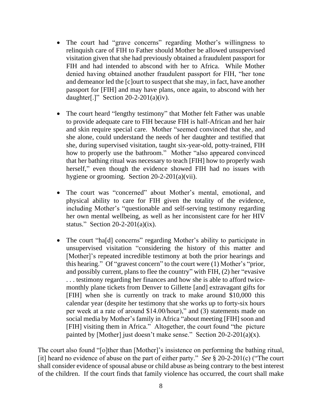- The court had "grave concerns" regarding Mother's willingness to relinquish care of FIH to Father should Mother be allowed unsupervised visitation given that she had previously obtained a fraudulent passport for FIH and had intended to abscond with her to Africa. While Mother denied having obtained another fraudulent passport for FIH, "her tone and demeanor led the [c]ourt to suspect that she may, in fact, have another passport for [FIH] and may have plans, once again, to abscond with her daughter[.]" Section  $20-2-201(a)(iv)$ .
- The court heard "lengthy testimony" that Mother felt Father was unable to provide adequate care to FIH because FIH is half-African and her hair and skin require special care. Mother "seemed convinced that she, and she alone, could understand the needs of her daughter and testified that she, during supervised visitation, taught six-year-old, potty-trained, FIH how to properly use the bathroom." Mother "also appeared convinced that her bathing ritual was necessary to teach [FIH] how to properly wash herself," even though the evidence showed FIH had no issues with hygiene or grooming. Section 20-2-201(a)(vii).
- The court was "concerned" about Mother's mental, emotional, and physical ability to care for FIH given the totality of the evidence, including Mother's "questionable and self-serving testimony regarding her own mental wellbeing, as well as her inconsistent care for her HIV status." Section  $20-2-201(a)(ix)$ .
- The court "ha[d] concerns" regarding Mother's ability to participate in unsupervised visitation "considering the history of this matter and [Mother]'s repeated incredible testimony at both the prior hearings and this hearing." Of "gravest concern" to the court were (1) Mother's "prior, and possibly current, plans to flee the country" with FIH, (2) her "evasive . . . testimony regarding her finances and how she is able to afford twicemonthly plane tickets from Denver to Gillette [and] extravagant gifts for [FIH] when she is currently on track to make around \$10,000 this calendar year (despite her testimony that she works up to forty-six hours per week at a rate of around \$14.00/hour)," and (3) statements made on social media by Mother's family in Africa "about meeting [FIH] soon and [FIH] visiting them in Africa." Altogether, the court found "the picture painted by [Mother] just doesn't make sense." Section  $20-2-201(a)(x)$ .

The court also found "[o]ther than [Mother]'s insistence on performing the bathing ritual, [it] heard no evidence of abuse on the part of either party." *See* § 20-2-201(c) ("The court shall consider evidence of spousal abuse or child abuse as being contrary to the best interest of the children. If the court finds that family violence has occurred, the court shall make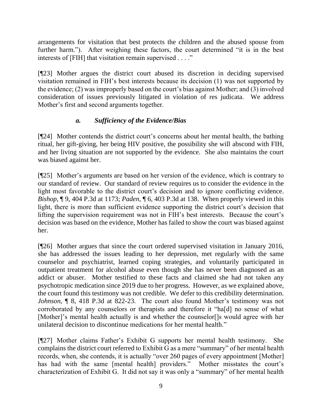arrangements for visitation that best protects the children and the abused spouse from further harm."). After weighing these factors, the court determined "it is in the best interests of [FIH] that visitation remain supervised . . . ."

[¶23] Mother argues the district court abused its discretion in deciding supervised visitation remained in FIH's best interests because its decision (1) was not supported by the evidence; (2) was improperly based on the court's bias against Mother; and (3) involved consideration of issues previously litigated in violation of res judicata. We address Mother's first and second arguments together.

# *a. Sufficiency of the Evidence/Bias*

[¶24] Mother contends the district court's concerns about her mental health, the bathing ritual, her gift-giving, her being HIV positive, the possibility she will abscond with FIH, and her living situation are not supported by the evidence. She also maintains the court was biased against her.

[¶25] Mother's arguments are based on her version of the evidence, which is contrary to our standard of review. Our standard of review requires us to consider the evidence in the light most favorable to the district court's decision and to ignore conflicting evidence. *Bishop*, ¶ 9, 404 P.3d at 1173; *Paden*, ¶ 6, 403 P.3d at 138. When properly viewed in this light, there is more than sufficient evidence supporting the district court's decision that lifting the supervision requirement was not in FIH's best interests. Because the court's decision was based on the evidence, Mother has failed to show the court was biased against her.

[¶26] Mother argues that since the court ordered supervised visitation in January 2016, she has addressed the issues leading to her depression, met regularly with the same counselor and psychiatrist, learned coping strategies, and voluntarily participated in outpatient treatment for alcohol abuse even though she has never been diagnosed as an addict or abuser. Mother testified to these facts and claimed she had not taken any psychotropic medication since 2019 due to her progress. However, as we explained above, the court found this testimony was not credible. We defer to this credibility determination. *Johnson*, ¶ 8, 418 P.3d at 822-23. The court also found Mother's testimony was not corroborated by any counselors or therapists and therefore it "ha[d] no sense of what [Mother]'s mental health actually is and whether the counselor[]s would agree with her unilateral decision to discontinue medications for her mental health."

[¶27] Mother claims Father's Exhibit G supports her mental health testimony. She complains the district court referred to Exhibit G as a mere "summary" of her mental health records, when, she contends, it is actually "over 260 pages of every appointment [Mother] has had with the same [mental health] providers." Mother misstates the court's characterization of Exhibit G. It did not say it was only a "summary" of her mental health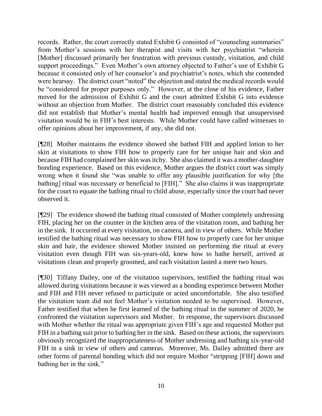records. Rather, the court correctly stated Exhibit G consisted of "counseling summaries" from Mother's sessions with her therapist and visits with her psychiatrist "wherein [Mother] discussed primarily her frustration with previous custody, visitation, and child support proceedings." Even Mother's own attorney objected to Father's use of Exhibit G because it consisted only of her counselor's and psychiatrist's notes, which she contended were hearsay. The district court "noted" the objection and stated the medical records would be "considered for proper purposes only." However, at the close of his evidence, Father moved for the admission of Exhibit G and the court admitted Exhibit G into evidence without an objection from Mother. The district court reasonably concluded this evidence did not establish that Mother's mental health had improved enough that unsupervised visitation would be in FIH's best interests. While Mother could have called witnesses to offer opinions about her improvement, if any, she did not.

[¶28] Mother maintains the evidence showed she bathed FIH and applied lotion to her skin at visitations to show FIH how to properly care for her unique hair and skin and because FIH had complained her skin was itchy. She also claimed it was a mother-daughter bonding experience. Based on this evidence, Mother argues the district court was simply wrong when it found she "was unable to offer any plausible justification for why [the bathing] ritual was necessary or beneficial to [FIH]." She also claims it was inappropriate for the court to equate the bathing ritual to child abuse, especially since the court had never observed it.

[¶29] The evidence showed the bathing ritual consisted of Mother completely undressing FIH, placing her on the counter in the kitchen area of the visitation room, and bathing her in the sink. It occurred at every visitation, on camera, and in view of others. While Mother testified the bathing ritual was necessary to show FIH how to properly care for her unique skin and hair, the evidence showed Mother insisted on performing the ritual at every visitation even though FIH was six-years-old, knew how to bathe herself, arrived at visitations clean and properly groomed, and each visitation lasted a mere two hours.

[¶30] Tiffany Dailey, one of the visitation supervisors, testified the bathing ritual was allowed during visitations because it was viewed as a bonding experience between Mother and FIH and FIH never refused to participate or acted uncomfortable. She also testified the visitation team did not feel Mother's visitation needed to be supervised. However, Father testified that when he first learned of the bathing ritual in the summer of 2020, he confronted the visitation supervisors and Mother. In response, the supervisors discussed with Mother whether the ritual was appropriate given FIH's age and requested Mother put FIH in a bathing suit prior to bathing her in the sink. Based on these actions, the supervisors obviously recognized the inappropriateness of Mother undressing and bathing six-year-old FIH in a sink in view of others and cameras. Moreover, Ms. Dailey admitted there are other forms of parental bonding which did not require Mother "stripping [FIH] down and bathing her in the sink."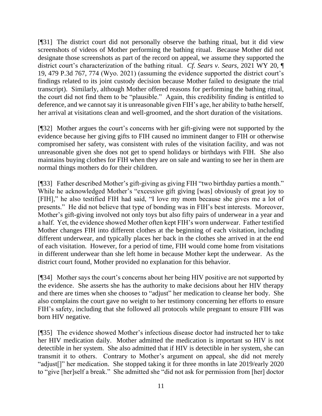[¶31] The district court did not personally observe the bathing ritual, but it did view screenshots of videos of Mother performing the bathing ritual. Because Mother did not designate those screenshots as part of the record on appeal, we assume they supported the district court's characterization of the bathing ritual. *Cf. Sears v. Sears*, 2021 WY 20, ¶ 19, 479 P.3d 767, 774 (Wyo. 2021) (assuming the evidence supported the district court's findings related to its joint custody decision because Mother failed to designate the trial transcript). Similarly, although Mother offered reasons for performing the bathing ritual, the court did not find them to be "plausible." Again, this credibility finding is entitled to deference, and we cannot say it is unreasonable given FIH's age, her ability to bathe herself, her arrival at visitations clean and well-groomed, and the short duration of the visitations.

[¶32] Mother argues the court's concerns with her gift-giving were not supported by the evidence because her giving gifts to FIH caused no imminent danger to FIH or otherwise compromised her safety, was consistent with rules of the visitation facility, and was not unreasonable given she does not get to spend holidays or birthdays with FIH. She also maintains buying clothes for FIH when they are on sale and wanting to see her in them are normal things mothers do for their children.

[¶33] Father described Mother's gift-giving as giving FIH "two birthday parties a month." While he acknowledged Mother's "excessive gift giving [was] obviously of great joy to [FIH]," he also testified FIH had said, "I love my mom because she gives me a lot of presents." He did not believe that type of bonding was in FIH's best interests. Moreover, Mother's gift-giving involved not only toys but also fifty pairs of underwear in a year and a half. Yet, the evidence showed Mother often kept FIH's worn underwear. Father testified Mother changes FIH into different clothes at the beginning of each visitation, including different underwear, and typically places her back in the clothes she arrived in at the end of each visitation. However, for a period of time, FIH would come home from visitations in different underwear than she left home in because Mother kept the underwear. As the district court found, Mother provided no explanation for this behavior.

[¶34] Mother says the court's concerns about her being HIV positive are not supported by the evidence. She asserts she has the authority to make decisions about her HIV therapy and there are times when she chooses to "adjust" her medication to cleanse her body. She also complains the court gave no weight to her testimony concerning her efforts to ensure FIH's safety, including that she followed all protocols while pregnant to ensure FIH was born HIV negative.

[¶35] The evidence showed Mother's infectious disease doctor had instructed her to take her HIV medication daily. Mother admitted the medication is important so HIV is not detectible in her system. She also admitted that if HIV is detectible in her system, she can transmit it to others. Contrary to Mother's argument on appeal, she did not merely "adjust[]" her medication. She stopped taking it for three months in late 2019/early 2020 to "give [her]self a break." She admitted she "did not ask for permission from [her] doctor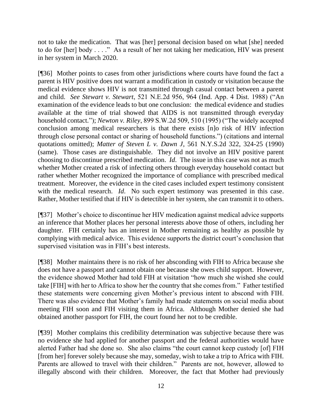not to take the medication. That was [her] personal decision based on what [she] needed to do for [her] body . . . ." As a result of her not taking her medication, HIV was present in her system in March 2020.

[¶36] Mother points to cases from other jurisdictions where courts have found the fact a parent is HIV positive does not warrant a modification in custody or visitation because the medical evidence shows HIV is not transmitted through casual contact between a parent and child. *See Stewart v. Stewart*, 521 N.E.2d 956, 964 (Ind. App. 4 Dist. 1988) ("An examination of the evidence leads to but one conclusion: the medical evidence and studies available at the time of trial showed that AIDS is not transmitted through everyday household contact."); *Newton v. Riley*, 899 S.W.2d 509, 510 (1995) ("The widely accepted conclusion among medical researchers is that there exists [n]o risk of HIV infection through close personal contact or sharing of household functions.") (citations and internal quotations omitted); *Matter of Steven L v. Dawn J*, 561 N.Y.S.2d 322, 324-25 (1990) (same). Those cases are distinguishable. They did not involve an HIV positive parent choosing to discontinue prescribed medication. *Id*. The issue in this case was not as much whether Mother created a risk of infecting others through everyday household contact but rather whether Mother recognized the importance of compliance with prescribed medical treatment. Moreover, the evidence in the cited cases included expert testimony consistent with the medical research. *Id*. No such expert testimony was presented in this case. Rather, Mother testified that if HIV is detectible in her system, she can transmit it to others.

[¶37] Mother's choice to discontinue her HIV medication against medical advice supports an inference that Mother places her personal interests above those of others, including her daughter. FIH certainly has an interest in Mother remaining as healthy as possible by complying with medical advice. This evidence supports the district court's conclusion that supervised visitation was in FIH's best interests.

[¶38] Mother maintains there is no risk of her absconding with FIH to Africa because she does not have a passport and cannot obtain one because she owes child support. However, the evidence showed Mother had told FIH at visitation "how much she wished she could take [FIH] with her to Africa to show her the country that she comes from." Father testified these statements were concerning given Mother's previous intent to abscond with FIH. There was also evidence that Mother's family had made statements on social media about meeting FIH soon and FIH visiting them in Africa. Although Mother denied she had obtained another passport for FIH, the court found her not to be credible.

[¶39] Mother complains this credibility determination was subjective because there was no evidence she had applied for another passport and the federal authorities would have alerted Father had she done so. She also claims "the court cannot keep custody [of] FIH [from her] forever solely because she may, someday, wish to take a trip to Africa with FIH. Parents are allowed to travel with their children." Parents are not, however, allowed to illegally abscond with their children. Moreover, the fact that Mother had previously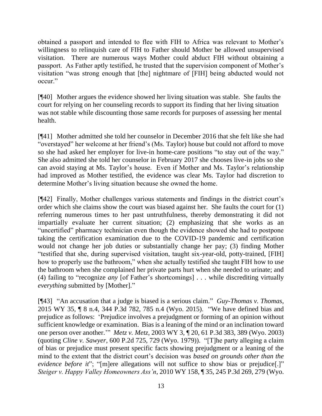obtained a passport and intended to flee with FIH to Africa was relevant to Mother's willingness to relinquish care of FIH to Father should Mother be allowed unsupervised visitation. There are numerous ways Mother could abduct FIH without obtaining a passport. As Father aptly testified, he trusted that the supervision component of Mother's visitation "was strong enough that [the] nightmare of [FIH] being abducted would not occur."

[¶40] Mother argues the evidence showed her living situation was stable. She faults the court for relying on her counseling records to support its finding that her living situation was not stable while discounting those same records for purposes of assessing her mental health.

[¶41] Mother admitted she told her counselor in December 2016 that she felt like she had "overstayed" her welcome at her friend's (Ms. Taylor) house but could not afford to move so she had asked her employer for live-in home-care positions "to stay out of the way." She also admitted she told her counselor in February 2017 she chooses live-in jobs so she can avoid staying at Ms. Taylor's house. Even if Mother and Ms. Taylor's relationship had improved as Mother testified, the evidence was clear Ms. Taylor had discretion to determine Mother's living situation because she owned the home.

[¶42] Finally, Mother challenges various statements and findings in the district court's order which she claims show the court was biased against her. She faults the court for (1) referring numerous times to her past untruthfulness, thereby demonstrating it did not impartially evaluate her current situation; (2) emphasizing that she works as an "uncertified" pharmacy technician even though the evidence showed she had to postpone taking the certification examination due to the COVID-19 pandemic and certification would not change her job duties or substantially change her pay; (3) finding Mother "testified that she, during supervised visitation, taught six-year-old, potty-trained, [FIH] how to properly use the bathroom," when she actually testified she taught FIH how to use the bathroom when she complained her private parts hurt when she needed to urinate; and (4) failing to "recognize *any* [of Father's shortcomings] . . . while discrediting virtually *everything* submitted by [Mother]."

[¶43] "An accusation that a judge is biased is a serious claim." *Guy-Thomas v. Thomas*, 2015 WY 35, ¶ 8 n.4, 344 P.3d 782, 785 n.4 (Wyo. 2015). "We have defined bias and prejudice as follows: 'Prejudice involves a prejudgment or forming of an opinion without sufficient knowledge or examination. Bias is a leaning of the mind or an inclination toward one person over another.'" *Metz v. Metz*, 2003 WY 3, ¶ 20, 61 P.3d 383, 389 (Wyo. 2003) (quoting *Cline v. Sawyer*, 600 P.2d 725, 729 (Wyo. 1979)). "[T]he party alleging a claim of bias or prejudice must present specific facts showing prejudgment or a leaning of the mind to the extent that the district court's decision was *based on grounds other than the evidence before it*"; "[m]ere allegations will not suffice to show bias or prejudice[.]" *Steiger v. Happy Valley Homeowners Ass'n*, 2010 WY 158, ¶ 35, 245 P.3d 269, 279 (Wyo.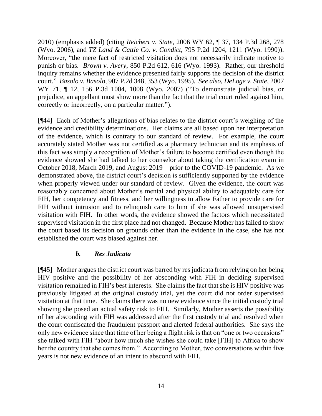2010) (emphasis added) (citing *Reichert v. State*, 2006 WY 62, ¶ 37, 134 P.3d 268, 278 (Wyo. 2006), and *TZ Land & Cattle Co. v. Condict*, 795 P.2d 1204, 1211 (Wyo. 1990)). Moreover, "the mere fact of restricted visitation does not necessarily indicate motive to punish or bias. *Brown v. Avery*, 850 P.2d 612, 616 (Wyo. 1993). Rather, our threshold inquiry remains whether the evidence presented fairly supports the decision of the district court." *Basolo v. Basolo*, 907 P.2d 348, 353 (Wyo. 1995). *See also, DeLoge v. State*, 2007 WY 71, ¶ 12, 156 P.3d 1004, 1008 (Wyo. 2007) ("To demonstrate judicial bias, or prejudice, an appellant must show more than the fact that the trial court ruled against him, correctly or incorrectly, on a particular matter.").

[¶44] Each of Mother's allegations of bias relates to the district court's weighing of the evidence and credibility determinations. Her claims are all based upon her interpretation of the evidence, which is contrary to our standard of review. For example, the court accurately stated Mother was not certified as a pharmacy technician and its emphasis of this fact was simply a recognition of Mother's failure to become certified even though the evidence showed she had talked to her counselor about taking the certification exam in October 2018, March 2019, and August 2019—prior to the COVID-19 pandemic. As we demonstrated above, the district court's decision is sufficiently supported by the evidence when properly viewed under our standard of review. Given the evidence, the court was reasonably concerned about Mother's mental and physical ability to adequately care for FIH, her competency and fitness, and her willingness to allow Father to provide care for FIH without intrusion and to relinquish care to him if she was allowed unsupervised visitation with FIH. In other words, the evidence showed the factors which necessitated supervised visitation in the first place had not changed. Because Mother has failed to show the court based its decision on grounds other than the evidence in the case, she has not established the court was biased against her.

#### *b. Res Judicata*

[¶45] Mother argues the district court was barred by res judicata from relying on her being HIV positive and the possibility of her absconding with FIH in deciding supervised visitation remained in FIH's best interests. She claims the fact that she is HIV positive was previously litigated at the original custody trial, yet the court did not order supervised visitation at that time. She claims there was no new evidence since the initial custody trial showing she posed an actual safety risk to FIH. Similarly, Mother asserts the possibility of her absconding with FIH was addressed after the first custody trial and resolved when the court confiscated the fraudulent passport and alerted federal authorities. She says the only new evidence since that time of her being a flight risk is that on "one or two occasions" she talked with FIH "about how much she wishes she could take [FIH] to Africa to show her the country that she comes from." According to Mother, two conversations within five years is not new evidence of an intent to abscond with FIH.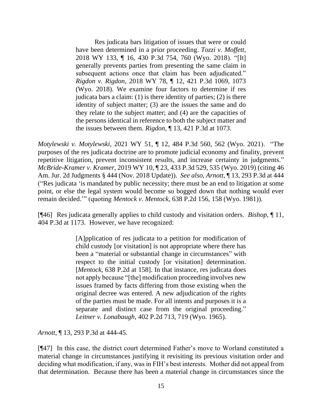Res judicata bars litigation of issues that were or could have been determined in a prior proceeding. *Tozzi v. Moffett*, 2018 WY 133, ¶ 16, 430 P.3d 754, 760 (Wyo. 2018). "[It] generally prevents parties from presenting the same claim in subsequent actions once that claim has been adjudicated." *Rigdon v. Rigdon*, 2018 WY 78, ¶ 12, 421 P.3d 1069, 1073 (Wyo. 2018). We examine four factors to determine if res judicata bars a claim:  $(1)$  is there identity of parties;  $(2)$  is there identity of subject matter; (3) are the issues the same and do they relate to the subject matter; and (4) are the capacities of the persons identical in reference to both the subject matter and the issues between them. *Rigdon*, ¶ 13, 421 P.3d at 1073.

*Motylewski v. Motylewski*, 2021 WY 51, ¶ 12, 484 P.3d 560, 562 (Wyo. 2021). "The purposes of the res judicata doctrine are to promote judicial economy and finality, prevent repetitive litigation, prevent inconsistent results, and increase certainty in judgments." *McBride-Kramer v. Kramer*, 2019 WY 10, ¶ 23, 433 P.3d 529, 535 (Wyo. 2019) (citing 46 Am. Jur. 2d Judgments § 444 (Nov. 2018 Update)). *See also, Arnott*, ¶ 13, 293 P.3d at 444 ("Res judicata 'is mandated by public necessity; there must be an end to litigation at some point, or else the legal system would become so bogged down that nothing would ever remain decided.'" (quoting *Mentock v. Mentock*, 638 P.2d 156, 158 (Wyo. 1981)).

[¶46] Res judicata generally applies to child custody and visitation orders. *Bishop*, ¶ 11, 404 P.3d at 1173. However, we have recognized:

> [A]pplication of res judicata to a petition for modification of child custody [or visitation] is not appropriate where there has been a "material or substantial change in circumstances" with respect to the initial custody [or visitation] determination. [*Mentock*, 638 P.2d at 158]. In that instance, res judicata does not apply because "[the] modification proceeding involves new issues framed by facts differing from those existing when the original decree was entered. A new adjudication of the rights of the parties must be made. For all intents and purposes it is a separate and distinct case from the original proceeding." *Leitner v. Lonabaugh*, 402 P.2d 713, 719 (Wyo. 1965).

*Arnott*, ¶ 13, 293 P.3d at 444-45.

[¶47] In this case, the district court determined Father's move to Worland constituted a material change in circumstances justifying it revisiting its previous visitation order and deciding what modification, if any, was in FIH's best interests. Mother did not appeal from that determination. Because there has been a material change in circumstances since the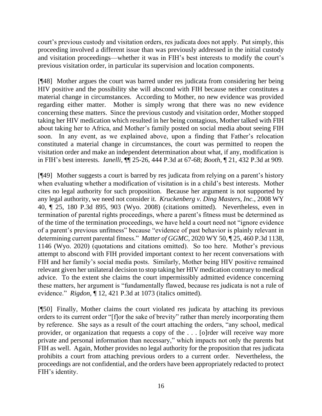court's previous custody and visitation orders, res judicata does not apply. Put simply, this proceeding involved a different issue than was previously addressed in the initial custody and visitation proceedings—whether it was in FIH's best interests to modify the court's previous visitation order, in particular its supervision and location components.

[¶48] Mother argues the court was barred under res judicata from considering her being HIV positive and the possibility she will abscond with FIH because neither constitutes a material change in circumstances. According to Mother, no new evidence was provided regarding either matter. Mother is simply wrong that there was no new evidence concerning these matters. Since the previous custody and visitation order, Mother stopped taking her HIV medication which resulted in her being contagious, Mother talked with FIH about taking her to Africa, and Mother's family posted on social media about seeing FIH soon. In any event, as we explained above, upon a finding that Father's relocation constituted a material change in circumstances, the court was permitted to reopen the visitation order and make an independent determination about what, if any, modification is in FIH's best interests. *Ianelli*, ¶¶ 25-26, 444 P.3d at 67-68; *Booth*, ¶ 21, 432 P.3d at 909*.*

[¶49] Mother suggests a court is barred by res judicata from relying on a parent's history when evaluating whether a modification of visitation is in a child's best interests. Mother cites no legal authority for such proposition. Because her argument is not supported by any legal authority, we need not consider it. *Kruckenberg v. Ding Masters, Inc.*, 2008 WY 40, ¶ 25, 180 P.3d 895, 903 (Wyo. 2008) (citations omitted). Nevertheless, even in termination of parental rights proceedings, where a parent's fitness must be determined as of the time of the termination proceedings, we have held a court need not "ignore evidence of a parent's previous unfitness" because "evidence of past behavior is plainly relevant in determining current parental fitness." *Matter of GGMC*, 2020 WY 50, ¶ 25, 460 P.3d 1138, 1146 (Wyo. 2020) (quotations and citations omitted). So too here. Mother's previous attempt to abscond with FIH provided important context to her recent conversations with FIH and her family's social media posts. Similarly, Mother being HIV positive remained relevant given her unilateral decision to stop taking her HIV medication contrary to medical advice. To the extent she claims the court impermissibly admitted evidence concerning these matters, her argument is "fundamentally flawed, because res judicata is not a rule of evidence." *Rigdon*, ¶ 12, 421 P.3d at 1073 (italics omitted).

[¶50] Finally, Mother claims the court violated res judicata by attaching its previous orders to its current order "[f]or the sake of brevity" rather than merely incorporating them by reference. She says as a result of the court attaching the orders, "any school, medical provider, or organization that requests a copy of the . . . [o]rder will receive way more private and personal information than necessary," which impacts not only the parents but FIH as well. Again, Mother provides no legal authority for the proposition that res judicata prohibits a court from attaching previous orders to a current order. Nevertheless, the proceedings are not confidential, and the orders have been appropriately redacted to protect FIH's identity.